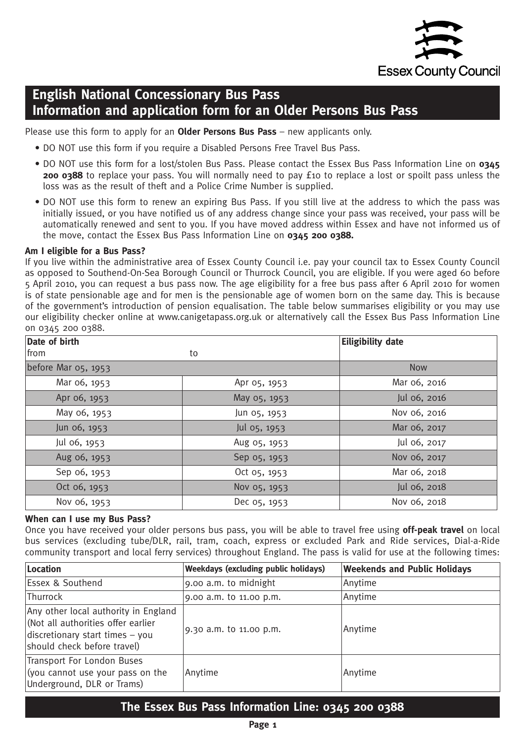

# **English National Concessionary Bus Pass Information and application form for an Older Persons Bus Pass**

Please use this form to apply for an **Older Persons Bus Pass** – new applicants only.

- DO NOT use this form if you require a Disabled Persons Free Travel Bus Pass.
- DO NOT use this form for a lost/stolen Bus Pass. Please contact the Essex Bus Pass Information Line on **0345 200 0388** to replace your pass. You will normally need to pay £10 to replace a lost or spoilt pass unless the loss was as the result of theft and a Police Crime Number is supplied.
- DO NOT use this form to renew an expiring Bus Pass. If you still live at the address to which the pass was initially issued, or you have notified us of any address change since your pass was received, your pass will be automatically renewed and sent to you. If you have moved address within Essex and have not informed us of the move, contact the Essex Bus Pass Information Line on **0345 200 0388.**

### **Am I eligible for a Bus Pass?**

If you live within the administrative area of Essex County Council i.e. pay your council tax to Essex County Council as opposed to Southend-On-Sea Borough Council or Thurrock Council, you are eligible. If you were aged 60 before 5 April 2010, you can request a bus pass now. The age eligibility for a free bus pass after 6 April 2010 for women is of state pensionable age and for men is the pensionable age of women born on the same day. This is because of the government's introduction of pension equalisation. The table below summarises eligibility or you may use our eligibility checker online at www.canigetapass.org.uk or alternatively call the Essex Bus Pass Information Line on 0345 200 0388.

| Date of birth       |              | <b>Eiligibility date</b> |
|---------------------|--------------|--------------------------|
| from                | to           |                          |
| before Mar 05, 1953 |              | <b>Now</b>               |
| Mar 06, 1953        | Apr 05, 1953 | Mar 06, 2016             |
| Apr 06, 1953        | May 05, 1953 | Jul 06, 2016             |
| May 06, 1953        | Jun 05, 1953 | Nov 06, 2016             |
| Jun 06, 1953        | Jul 05, 1953 | Mar 06, 2017             |
| Jul 06, 1953        | Aug 05, 1953 | Jul 06, 2017             |
| Aug 06, 1953        | Sep 05, 1953 | Nov 06, 2017             |
| Sep 06, 1953        | Oct 05, 1953 | Mar 06, 2018             |
| Oct 06, 1953        | Nov 05, 1953 | Jul 06, 2018             |
| Nov 06, 1953        | Dec 05, 1953 | Nov 06, 2018             |

### **When can I use my Bus Pass?**

Once you have received your older persons bus pass, you will be able to travel free using **off-peak travel** on local bus services (excluding tube/DLR, rail, tram, coach, express or excluded Park and Ride services, Dial-a-Ride community transport and local ferry services) throughout England. The pass is valid for use at the following times:

| Location                                                                                                                                     | Weekdays (excluding public holidays) | <b>Weekends and Public Holidays</b> |
|----------------------------------------------------------------------------------------------------------------------------------------------|--------------------------------------|-------------------------------------|
| <b>Essex &amp; Southend</b>                                                                                                                  | 9.00 a.m. to midnight                | Anytime                             |
| Thurrock                                                                                                                                     | 9.00 a.m. to 11.00 p.m.              | Anytime                             |
| Any other local authority in England<br>(Not all authorities offer earlier<br>discretionary start times - you<br>should check before travel) | 9.30 a.m. to 11.00 p.m.              | Anytime                             |
| Transport For London Buses<br>(you cannot use your pass on the<br>Underground, DLR or Trams)                                                 | Anytime                              | Anytime                             |

## **The Essex Bus Pass Information Line: 0345 200 0388**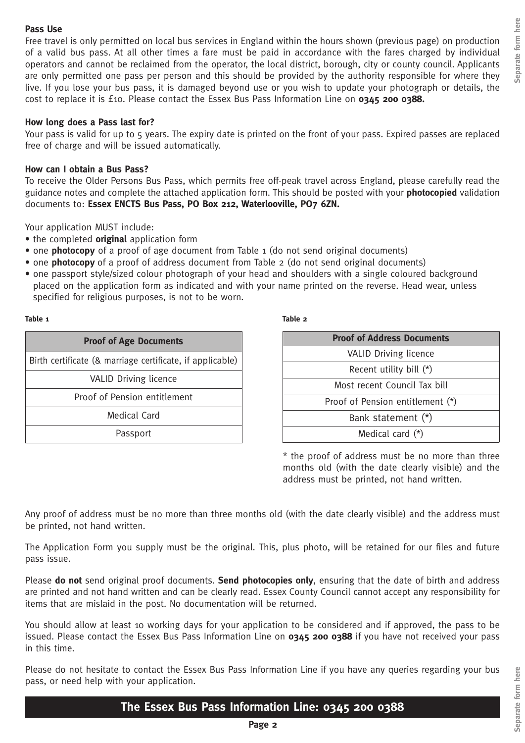### **Pass Use**

Free travel is only permitted on local bus services in England within the hours shown (previous page) on production of a valid bus pass. At all other times a fare must be paid in accordance with the fares charged by individual operators and cannot be reclaimed from the operator, the local district, borough, city or county council. Applicants are only permitted one pass per person and this should be provided by the authority responsible for where they live. If you lose your bus pass, it is damaged beyond use or you wish to update your photograph or details, the cost to replace it is £10. Please contact the Essex Bus Pass Information Line on **0345 200 0388.**

## **How long does a Pass last for?**

Your pass is valid for up to 5 years. The expiry date is printed on the front of your pass. Expired passes are replaced free of charge and will be issued automatically.

## **How can I obtain a Bus Pass?**

To receive the Older Persons Bus Pass, which permits free off-peak travel across England, please carefully read the guidance notes and complete the attached application form. This should be posted with your **photocopied** validation documents to: **Essex ENCTS Bus Pass, PO Box 212, Waterlooville, PO7 6ZN.**

Your application MUST include:

- the completed **original** application form
- one **photocopy** of a proof of age document from Table 1 (do not send original documents)
- one **photocopy** of a proof of address document from Table 2 (do not send original documents)
- one passport style/sized colour photograph of your head and shoulders with a single coloured background placed on the application form as indicated and with your name printed on the reverse. Head wear, unless specified for religious purposes, is not to be worn.

#### **Table 1 Table 2**

| <b>Proof of Age Documents</b>                             |  |
|-----------------------------------------------------------|--|
| Birth certificate (& marriage certificate, if applicable) |  |
| <b>VALID Driving licence</b>                              |  |
| Proof of Pension entitlement                              |  |
| <b>Medical Card</b>                                       |  |
| Passport                                                  |  |

| <b>Proof of Address Documents</b> |  |  |
|-----------------------------------|--|--|
| <b>VALID Driving licence</b>      |  |  |
| Recent utility bill $(*)$         |  |  |
| Most recent Council Tax bill      |  |  |
| Proof of Pension entitlement (*)  |  |  |
| Bank statement (*)                |  |  |
| Medical card $(*)$                |  |  |

\* the proof of address must be no more than three months old (with the date clearly visible) and the address must be printed, not hand written.

Any proof of address must be no more than three months old (with the date clearly visible) and the address must be printed, not hand written.

The Application Form you supply must be the original. This, plus photo, will be retained for our files and future pass issue.

Please **do not** send original proof documents. **Send photocopies only**, ensuring that the date of birth and address are printed and not hand written and can be clearly read. Essex County Council cannot accept any responsibility for items that are mislaid in the post. No documentation will be returned.

You should allow at least 10 working days for your application to be considered and if approved, the pass to be issued. Please contact the Essex Bus Pass Information Line on **0345 200 0388** if you have not received your pass in this time.

Please do not hesitate to contact the Essex Bus Pass Information Line if you have any queries regarding your bus pass, or need help with your application.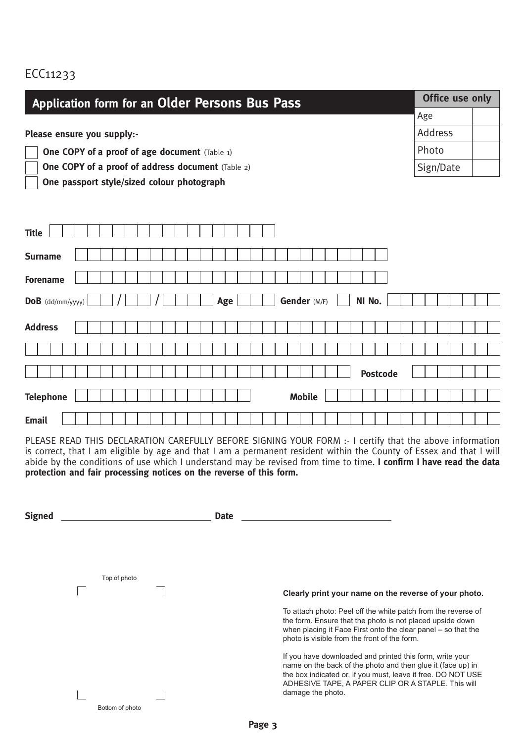## ECC11233

| <b>Application form for an Older Persons Bus Pass</b>    | Office use only |  |  |
|----------------------------------------------------------|-----------------|--|--|
|                                                          | Age             |  |  |
| Please ensure you supply:-                               | Address         |  |  |
| <b>One COPY of a proof of age document</b> (Table 1)     | Photo           |  |  |
| <b>One COPY of a proof of address document</b> (Table 2) | Sign/Date       |  |  |
| One passport style/sized colour photograph               |                 |  |  |
|                                                          |                 |  |  |
|                                                          |                 |  |  |
| <b>Title</b>                                             |                 |  |  |
|                                                          |                 |  |  |
| <b>Surname</b>                                           |                 |  |  |
| <b>Forename</b>                                          |                 |  |  |
| Gender (M/F)<br>NI No.<br>Age<br>$DoB$ (dd/mm/yyyy)      |                 |  |  |
|                                                          |                 |  |  |
| <b>Address</b>                                           |                 |  |  |
|                                                          |                 |  |  |
|                                                          |                 |  |  |
| <b>Postcode</b>                                          |                 |  |  |
| <b>Telephone</b><br><b>Mobile</b>                        |                 |  |  |
|                                                          |                 |  |  |
| <b>Email</b>                                             |                 |  |  |

PLEASE READ THIS DECLARATION CAREFULLY BEFORE SIGNING YOUR FORM :- I certify that the above information is correct, that I am eligible by age and that I am a permanent resident within the County of Essex and that I will abide by the conditions of use which I understand may be revised from time to time. **I confirm I have read the data protection and fair processing notices on the reverse of this form.**

| <b>Signed</b> |                 | <b>Date</b>                                                                                                                                                                                                                                                        |
|---------------|-----------------|--------------------------------------------------------------------------------------------------------------------------------------------------------------------------------------------------------------------------------------------------------------------|
|               |                 |                                                                                                                                                                                                                                                                    |
|               |                 |                                                                                                                                                                                                                                                                    |
|               | Top of photo    |                                                                                                                                                                                                                                                                    |
|               |                 | Clearly print your name on the reverse of your photo.                                                                                                                                                                                                              |
|               |                 | To attach photo: Peel off the white patch from the reverse of<br>the form. Ensure that the photo is not placed upside down<br>when placing it Face First onto the clear panel – so that the<br>photo is visible from the front of the form.                        |
|               |                 | If you have downloaded and printed this form, write your<br>name on the back of the photo and then glue it (face up) in<br>the box indicated or, if you must, leave it free. DO NOT USE<br>ADHESIVE TAPE, A PAPER CLIP OR A STAPLE. This will<br>damage the photo. |
|               | Bottom of photo |                                                                                                                                                                                                                                                                    |